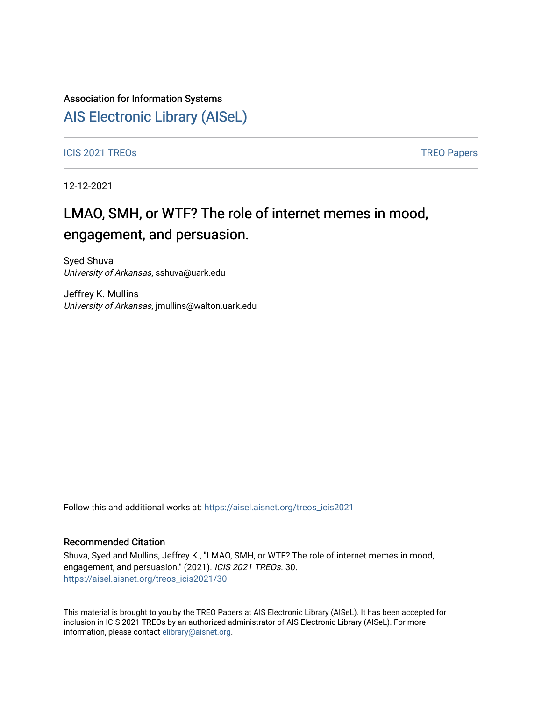### Association for Information Systems

## [AIS Electronic Library \(AISeL\)](https://aisel.aisnet.org/)

ICIS 2021 TREOS Notes that the contract of the contract of the contract of the contract of the contract of the contract of the contract of the contract of the contract of the contract of the contract of the contract of the

12-12-2021

# LMAO, SMH, or WTF? The role of internet memes in mood, engagement, and persuasion.

Syed Shuva University of Arkansas, sshuva@uark.edu

Jeffrey K. Mullins University of Arkansas, jmullins@walton.uark.edu

Follow this and additional works at: [https://aisel.aisnet.org/treos\\_icis2021](https://aisel.aisnet.org/treos_icis2021?utm_source=aisel.aisnet.org%2Ftreos_icis2021%2F30&utm_medium=PDF&utm_campaign=PDFCoverPages) 

#### Recommended Citation

Shuva, Syed and Mullins, Jeffrey K., "LMAO, SMH, or WTF? The role of internet memes in mood, engagement, and persuasion." (2021). ICIS 2021 TREOs. 30. [https://aisel.aisnet.org/treos\\_icis2021/30](https://aisel.aisnet.org/treos_icis2021/30?utm_source=aisel.aisnet.org%2Ftreos_icis2021%2F30&utm_medium=PDF&utm_campaign=PDFCoverPages) 

This material is brought to you by the TREO Papers at AIS Electronic Library (AISeL). It has been accepted for inclusion in ICIS 2021 TREOs by an authorized administrator of AIS Electronic Library (AISeL). For more information, please contact [elibrary@aisnet.org.](mailto:elibrary@aisnet.org%3E)